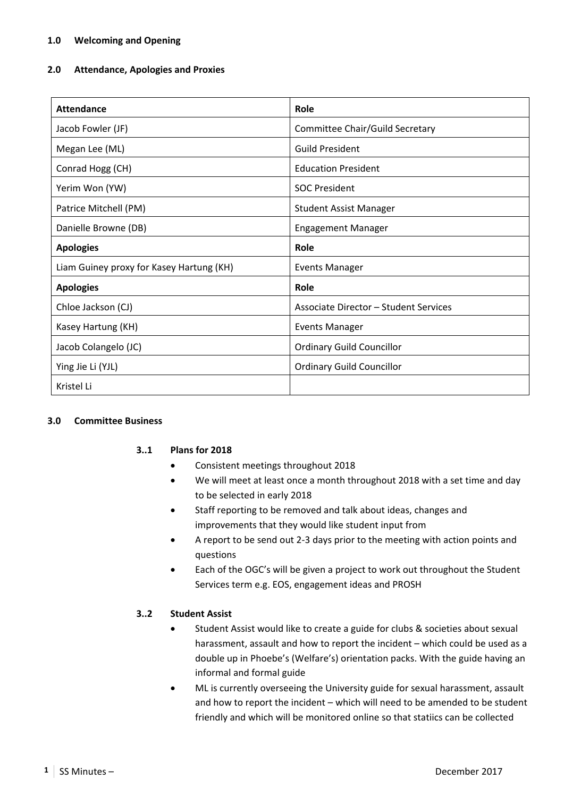#### **2.0 Attendance, Apologies and Proxies**

| <b>Attendance</b>                        | Role                                  |
|------------------------------------------|---------------------------------------|
| Jacob Fowler (JF)                        | Committee Chair/Guild Secretary       |
| Megan Lee (ML)                           | <b>Guild President</b>                |
| Conrad Hogg (CH)                         | <b>Education President</b>            |
| Yerim Won (YW)                           | <b>SOC President</b>                  |
| Patrice Mitchell (PM)                    | <b>Student Assist Manager</b>         |
| Danielle Browne (DB)                     | <b>Engagement Manager</b>             |
| <b>Apologies</b>                         | Role                                  |
| Liam Guiney proxy for Kasey Hartung (KH) | <b>Events Manager</b>                 |
| <b>Apologies</b>                         | Role                                  |
| Chloe Jackson (CJ)                       | Associate Director - Student Services |
| Kasey Hartung (KH)                       | <b>Events Manager</b>                 |
| Jacob Colangelo (JC)                     | <b>Ordinary Guild Councillor</b>      |
| Ying Jie Li (YJL)                        | <b>Ordinary Guild Councillor</b>      |
| Kristel Li                               |                                       |

#### **3.0 Committee Business**

#### **3..1 Plans for 2018**

- Consistent meetings throughout 2018
- We will meet at least once a month throughout 2018 with a set time and day to be selected in early 2018
- Staff reporting to be removed and talk about ideas, changes and improvements that they would like student input from
- A report to be send out 2‐3 days prior to the meeting with action points and questions
- Each of the OGC's will be given a project to work out throughout the Student Services term e.g. EOS, engagement ideas and PROSH

### **3..2 Student Assist**

- Student Assist would like to create a guide for clubs & societies about sexual harassment, assault and how to report the incident – which could be used as a double up in Phoebe's (Welfare's) orientation packs. With the guide having an informal and formal guide
- ML is currently overseeing the University guide for sexual harassment, assault and how to report the incident – which will need to be amended to be student friendly and which will be monitored online so that statiics can be collected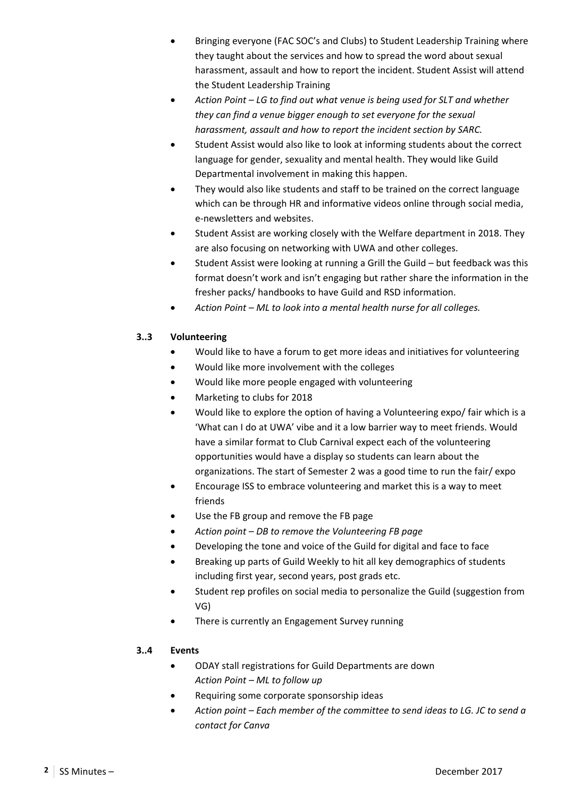- Bringing everyone (FAC SOC's and Clubs) to Student Leadership Training where they taught about the services and how to spread the word about sexual harassment, assault and how to report the incident. Student Assist will attend the Student Leadership Training
- *Action Point LG to find out what venue is being used for SLT and whether they can find a venue bigger enough to set everyone for the sexual harassment, assault and how to report the incident section by SARC.*
- Student Assist would also like to look at informing students about the correct language for gender, sexuality and mental health. They would like Guild Departmental involvement in making this happen.
- They would also like students and staff to be trained on the correct language which can be through HR and informative videos online through social media, e‐newsletters and websites.
- Student Assist are working closely with the Welfare department in 2018. They are also focusing on networking with UWA and other colleges.
- Student Assist were looking at running a Grill the Guild but feedback was this format doesn't work and isn't engaging but rather share the information in the fresher packs/ handbooks to have Guild and RSD information.
- *Action Point ML to look into a mental health nurse for all colleges.*

## **3..3 Volunteering**

- Would like to have a forum to get more ideas and initiatives for volunteering
- Would like more involvement with the colleges
- Would like more people engaged with volunteering
- Marketing to clubs for 2018
- Would like to explore the option of having a Volunteering expo/ fair which is a 'What can I do at UWA' vibe and it a low barrier way to meet friends. Would have a similar format to Club Carnival expect each of the volunteering opportunities would have a display so students can learn about the organizations. The start of Semester 2 was a good time to run the fair/ expo
- Encourage ISS to embrace volunteering and market this is a way to meet friends
- Use the FB group and remove the FB page
- *Action point DB to remove the Volunteering FB page*
- Developing the tone and voice of the Guild for digital and face to face
- Breaking up parts of Guild Weekly to hit all key demographics of students including first year, second years, post grads etc.
- Student rep profiles on social media to personalize the Guild (suggestion from VG)
- There is currently an Engagement Survey running

### **3..4 Events**

- ODAY stall registrations for Guild Departments are down *Action Point – ML to follow up*
- Requiring some corporate sponsorship ideas
- *Action point Each member of the committee to send ideas to LG. JC to send a contact for Canva*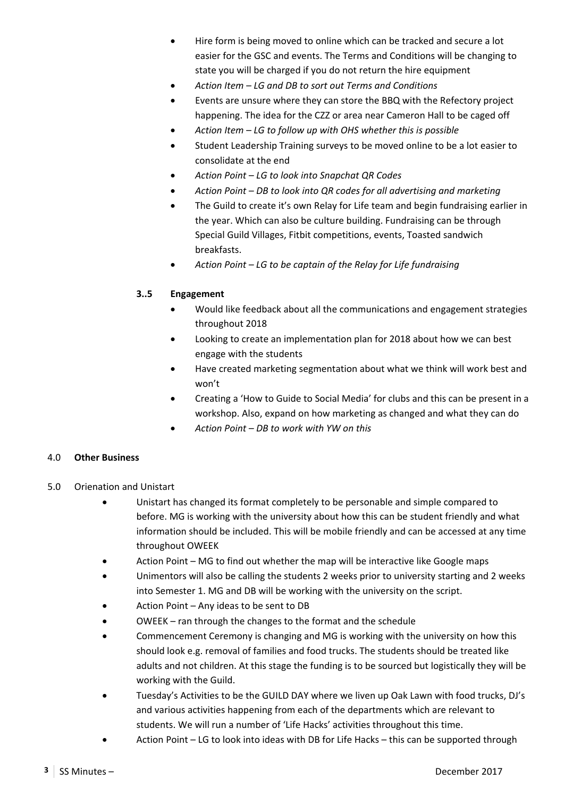- Hire form is being moved to online which can be tracked and secure a lot easier for the GSC and events. The Terms and Conditions will be changing to state you will be charged if you do not return the hire equipment
- *Action Item LG and DB to sort out Terms and Conditions*
- Events are unsure where they can store the BBQ with the Refectory project happening. The idea for the CZZ or area near Cameron Hall to be caged off
- *Action Item LG to follow up with OHS whether this is possible*
- Student Leadership Training surveys to be moved online to be a lot easier to consolidate at the end
- *Action Point LG to look into Snapchat QR Codes*
- *Action Point DB to look into QR codes for all advertising and marketing*
- The Guild to create it's own Relay for Life team and begin fundraising earlier in the year. Which can also be culture building. Fundraising can be through Special Guild Villages, Fitbit competitions, events, Toasted sandwich breakfasts.
- *Action Point LG to be captain of the Relay for Life fundraising*

### **3..5 Engagement**

- Would like feedback about all the communications and engagement strategies throughout 2018
- Looking to create an implementation plan for 2018 about how we can best engage with the students
- Have created marketing segmentation about what we think will work best and won't
- Creating a 'How to Guide to Social Media' for clubs and this can be present in a workshop. Also, expand on how marketing as changed and what they can do
- *Action Point DB to work with YW on this*

### 4.0 **Other Business**

- 5.0 Orienation and Unistart
	- Unistart has changed its format completely to be personable and simple compared to before. MG is working with the university about how this can be student friendly and what information should be included. This will be mobile friendly and can be accessed at any time throughout OWEEK
	- Action Point MG to find out whether the map will be interactive like Google maps
	- Unimentors will also be calling the students 2 weeks prior to university starting and 2 weeks into Semester 1. MG and DB will be working with the university on the script.
	- Action Point Any ideas to be sent to DB
	- OWEEK ran through the changes to the format and the schedule
	- Commencement Ceremony is changing and MG is working with the university on how this should look e.g. removal of families and food trucks. The students should be treated like adults and not children. At this stage the funding is to be sourced but logistically they will be working with the Guild.
	- Tuesday's Activities to be the GUILD DAY where we liven up Oak Lawn with food trucks, DJ's and various activities happening from each of the departments which are relevant to students. We will run a number of 'Life Hacks' activities throughout this time.
	- Action Point LG to look into ideas with DB for Life Hacks this can be supported through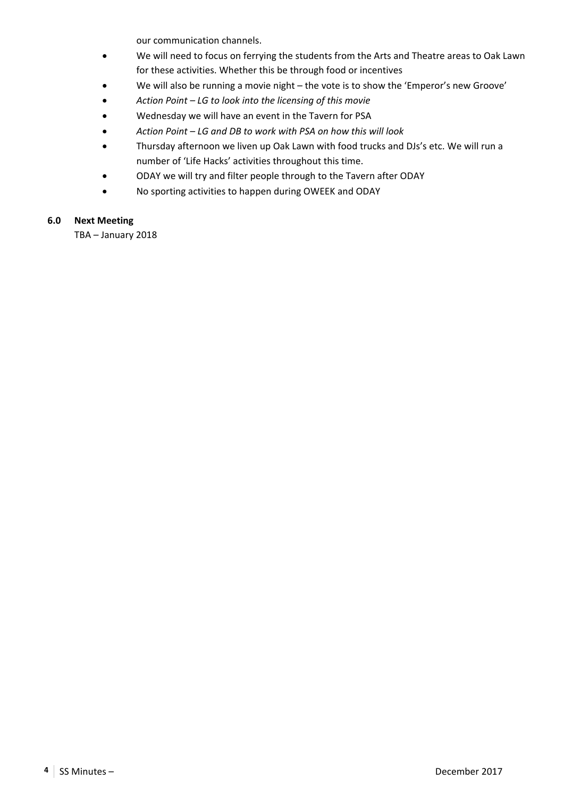our communication channels.

- We will need to focus on ferrying the students from the Arts and Theatre areas to Oak Lawn for these activities. Whether this be through food or incentives
- We will also be running a movie night the vote is to show the 'Emperor's new Groove'
- *Action Point LG to look into the licensing of this movie*
- Wednesday we will have an event in the Tavern for PSA
- *Action Point LG and DB to work with PSA on how this will look*
- Thursday afternoon we liven up Oak Lawn with food trucks and DJs's etc. We will run a number of 'Life Hacks' activities throughout this time.
- ODAY we will try and filter people through to the Tavern after ODAY
- No sporting activities to happen during OWEEK and ODAY

#### **6.0 Next Meeting**

TBA – January 2018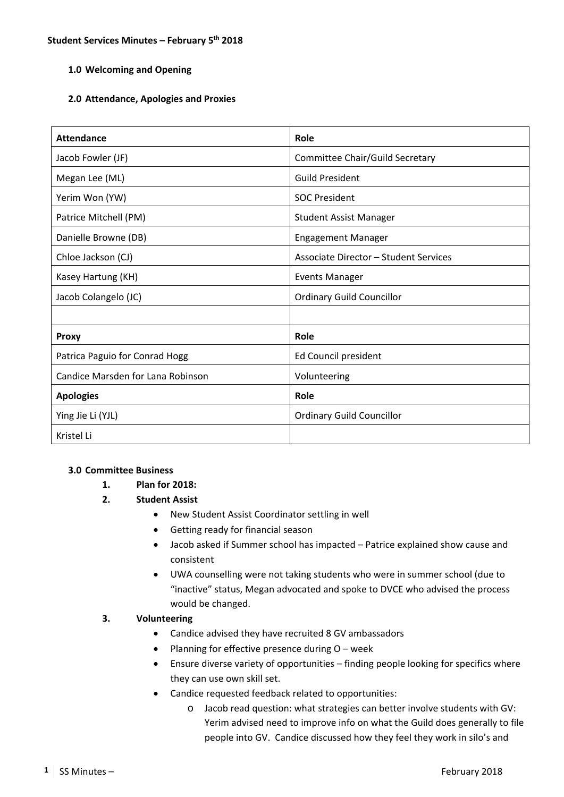### **2.0 Attendance, Apologies and Proxies**

| <b>Attendance</b>                 | Role                                  |
|-----------------------------------|---------------------------------------|
| Jacob Fowler (JF)                 | Committee Chair/Guild Secretary       |
| Megan Lee (ML)                    | <b>Guild President</b>                |
| Yerim Won (YW)                    | <b>SOC President</b>                  |
| Patrice Mitchell (PM)             | <b>Student Assist Manager</b>         |
| Danielle Browne (DB)              | <b>Engagement Manager</b>             |
| Chloe Jackson (CJ)                | Associate Director – Student Services |
| Kasey Hartung (KH)                | <b>Events Manager</b>                 |
| Jacob Colangelo (JC)              | <b>Ordinary Guild Councillor</b>      |
|                                   |                                       |
| <b>Proxy</b>                      | Role                                  |
| Patrica Paguio for Conrad Hogg    | Ed Council president                  |
| Candice Marsden for Lana Robinson | Volunteering                          |
| <b>Apologies</b>                  | Role                                  |
| Ying Jie Li (YJL)                 | <b>Ordinary Guild Councillor</b>      |
| Kristel Li                        |                                       |

### **3.0 Committee Business**

- **1. Plan for 2018:**
- **2. Student Assist** 
	- New Student Assist Coordinator settling in well
	- Getting ready for financial season
	- Jacob asked if Summer school has impacted Patrice explained show cause and consistent
	- UWA counselling were not taking students who were in summer school (due to "inactive" status, Megan advocated and spoke to DVCE who advised the process would be changed.

### **3. Volunteering**

- Candice advised they have recruited 8 GV ambassadors
- Planning for effective presence during  $O$  week
- Ensure diverse variety of opportunities finding people looking for specifics where they can use own skill set.
- Candice requested feedback related to opportunities:
	- o Jacob read question: what strategies can better involve students with GV: Yerim advised need to improve info on what the Guild does generally to file people into GV. Candice discussed how they feel they work in silo's and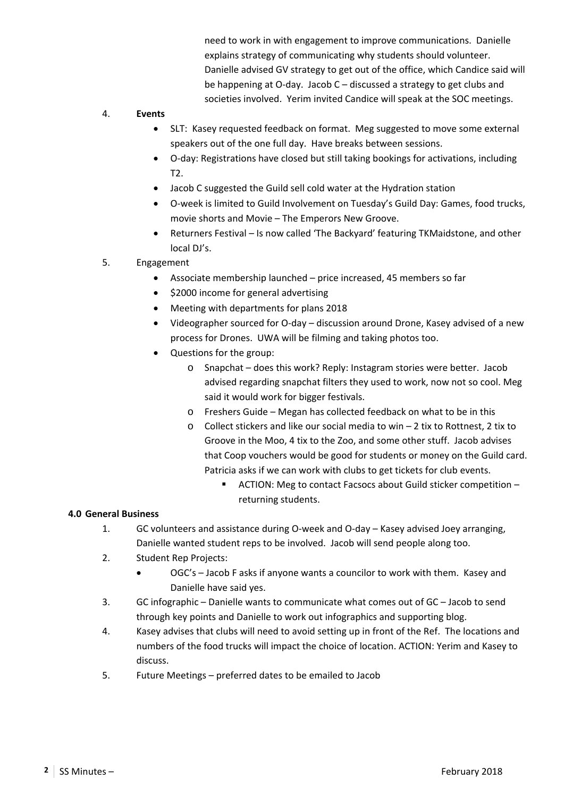need to work in with engagement to improve communications. Danielle explains strategy of communicating why students should volunteer. Danielle advised GV strategy to get out of the office, which Candice said will be happening at O‐day. Jacob C – discussed a strategy to get clubs and societies involved. Yerim invited Candice will speak at the SOC meetings.

#### 4. **Events**

- SLT: Kasey requested feedback on format. Meg suggested to move some external speakers out of the one full day. Have breaks between sessions.
- O-day: Registrations have closed but still taking bookings for activations, including T2.
- Jacob C suggested the Guild sell cold water at the Hydration station
- O‐week is limited to Guild Involvement on Tuesday's Guild Day: Games, food trucks, movie shorts and Movie – The Emperors New Groove.
- Returners Festival Is now called 'The Backyard' featuring TKMaidstone, and other local DJ's.
- 5. Engagement
	- Associate membership launched price increased, 45 members so far
	- \$2000 income for general advertising
	- Meeting with departments for plans 2018
	- Videographer sourced for O‐day discussion around Drone, Kasey advised of a new process for Drones. UWA will be filming and taking photos too.
	- Questions for the group:
		- o Snapchat does this work? Reply: Instagram stories were better. Jacob advised regarding snapchat filters they used to work, now not so cool. Meg said it would work for bigger festivals.
		- o Freshers Guide Megan has collected feedback on what to be in this
		- o Collect stickers and like our social media to win 2 tix to Rottnest, 2 tix to Groove in the Moo, 4 tix to the Zoo, and some other stuff. Jacob advises that Coop vouchers would be good for students or money on the Guild card. Patricia asks if we can work with clubs to get tickets for club events.
			- ACTION: Meg to contact Facsocs about Guild sticker competition returning students.

### **4.0 General Business**

- 1. GC volunteers and assistance during O-week and O-day Kasey advised Joey arranging, Danielle wanted student reps to be involved. Jacob will send people along too.
- 2. Student Rep Projects:
	- OGC's Jacob F asks if anyone wants a councilor to work with them. Kasey and Danielle have said yes.
- 3. GC infographic Danielle wants to communicate what comes out of GC Jacob to send through key points and Danielle to work out infographics and supporting blog.
- 4. Kasey advises that clubs will need to avoid setting up in front of the Ref. The locations and numbers of the food trucks will impact the choice of location. ACTION: Yerim and Kasey to discuss.
- 5. Future Meetings preferred dates to be emailed to Jacob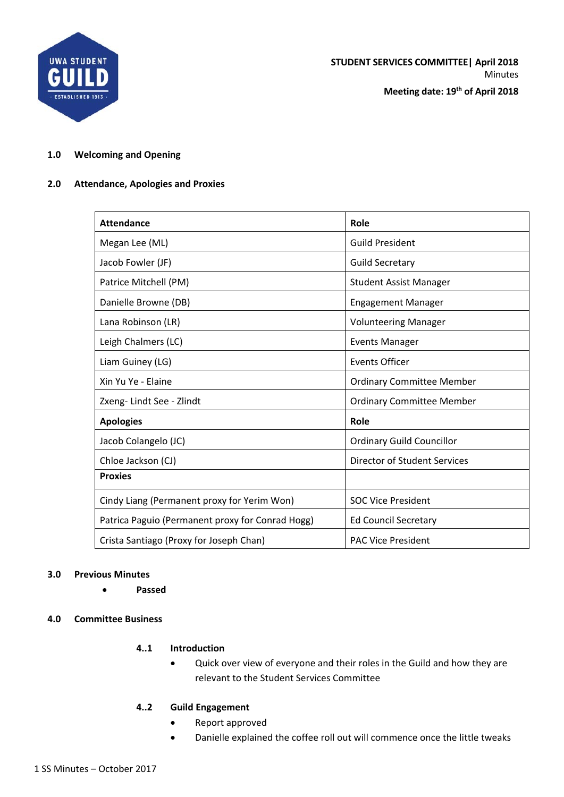

**STUDENT SERVICES COMMITTEE| April 2018** Minutes

**Meeting date: 19th of April 2018**

#### **1.0 Welcoming and Opening**

#### **2.0 Attendance, Apologies and Proxies**

| <b>Attendance</b>                                | Role                             |
|--------------------------------------------------|----------------------------------|
| Megan Lee (ML)                                   | <b>Guild President</b>           |
| Jacob Fowler (JF)                                | <b>Guild Secretary</b>           |
| Patrice Mitchell (PM)                            | <b>Student Assist Manager</b>    |
| Danielle Browne (DB)                             | <b>Engagement Manager</b>        |
| Lana Robinson (LR)                               | <b>Volunteering Manager</b>      |
| Leigh Chalmers (LC)                              | <b>Events Manager</b>            |
| Liam Guiney (LG)                                 | <b>Events Officer</b>            |
| Xin Yu Ye - Elaine                               | <b>Ordinary Committee Member</b> |
| Zxeng-Lindt See - Zlindt                         | <b>Ordinary Committee Member</b> |
| <b>Apologies</b>                                 | Role                             |
| Jacob Colangelo (JC)                             | <b>Ordinary Guild Councillor</b> |
| Chloe Jackson (CJ)                               | Director of Student Services     |
| <b>Proxies</b>                                   |                                  |
| Cindy Liang (Permanent proxy for Yerim Won)      | <b>SOC Vice President</b>        |
| Patrica Paguio (Permanent proxy for Conrad Hogg) | <b>Ed Council Secretary</b>      |
| Crista Santiago (Proxy for Joseph Chan)          | <b>PAC Vice President</b>        |

#### **3.0 Previous Minutes**

- **Passed**
- **4.0 Committee Business**

### **4..1 Introduction**

 Quick over view of everyone and their roles in the Guild and how they are relevant to the Student Services Committee

### **4..2 Guild Engagement**

- Report approved
- Danielle explained the coffee roll out will commence once the little tweaks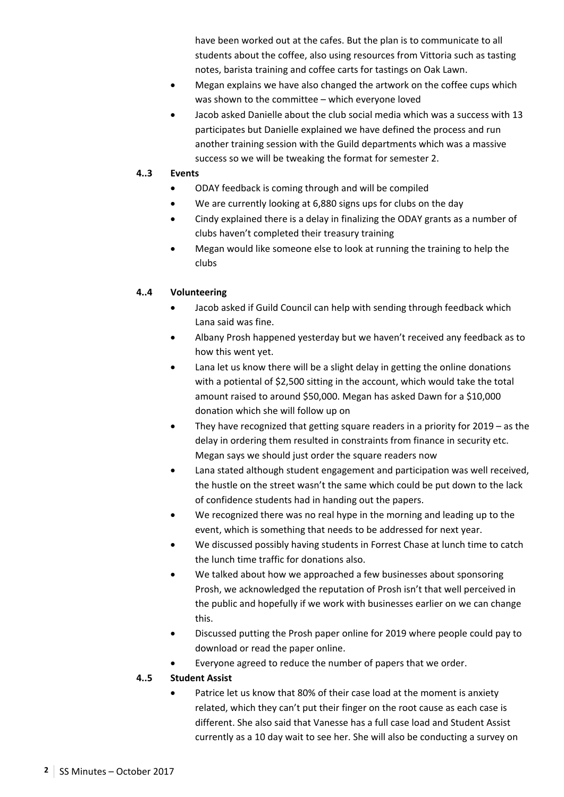have been worked out at the cafes. But the plan is to communicate to all students about the coffee, also using resources from Vittoria such as tasting notes, barista training and coffee carts for tastings on Oak Lawn.

- Megan explains we have also changed the artwork on the coffee cups which was shown to the committee – which everyone loved
- Jacob asked Danielle about the club social media which was a success with 13 participates but Danielle explained we have defined the process and run another training session with the Guild departments which was a massive success so we will be tweaking the format for semester 2.

#### **4..3 Events**

- ODAY feedback is coming through and will be compiled
- We are currently looking at 6,880 signs ups for clubs on the day
- Cindy explained there is a delay in finalizing the ODAY grants as a number of clubs haven't completed their treasury training
- Megan would like someone else to look at running the training to help the clubs

### **4..4 Volunteering**

- Jacob asked if Guild Council can help with sending through feedback which Lana said was fine.
- Albany Prosh happened yesterday but we haven't received any feedback as to how this went yet.
- Lana let us know there will be a slight delay in getting the online donations with a potiental of \$2,500 sitting in the account, which would take the total amount raised to around \$50,000. Megan has asked Dawn for a \$10,000 donation which she will follow up on
- They have recognized that getting square readers in a priority for 2019 as the delay in ordering them resulted in constraints from finance in security etc. Megan says we should just order the square readers now
- Lana stated although student engagement and participation was well received, the hustle on the street wasn't the same which could be put down to the lack of confidence students had in handing out the papers.
- We recognized there was no real hype in the morning and leading up to the event, which is something that needs to be addressed for next year.
- We discussed possibly having students in Forrest Chase at lunch time to catch the lunch time traffic for donations also.
- We talked about how we approached a few businesses about sponsoring Prosh, we acknowledged the reputation of Prosh isn't that well perceived in the public and hopefully if we work with businesses earlier on we can change this.
- Discussed putting the Prosh paper online for 2019 where people could pay to download or read the paper online.
- Everyone agreed to reduce the number of papers that we order.

### **4..5 Student Assist**

 Patrice let us know that 80% of their case load at the moment is anxiety related, which they can't put their finger on the root cause as each case is different. She also said that Vanesse has a full case load and Student Assist currently as a 10 day wait to see her. She will also be conducting a survey on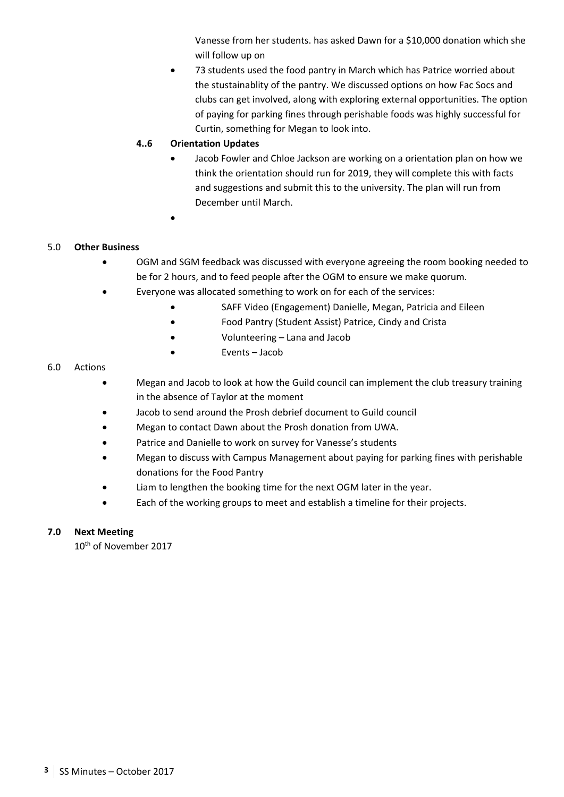Vanesse from her students. has asked Dawn for a \$10,000 donation which she will follow up on

 73 students used the food pantry in March which has Patrice worried about the stustainablity of the pantry. We discussed options on how Fac Socs and clubs can get involved, along with exploring external opportunities. The option of paying for parking fines through perishable foods was highly successful for Curtin, something for Megan to look into.

### **4..6 Orientation Updates**

- Jacob Fowler and Chloe Jackson are working on a orientation plan on how we think the orientation should run for 2019, they will complete this with facts and suggestions and submit this to the university. The plan will run from December until March.
- $\bullet$

### 5.0 **Other Business**

- OGM and SGM feedback was discussed with everyone agreeing the room booking needed to be for 2 hours, and to feed people after the OGM to ensure we make quorum.
- Everyone was allocated something to work on for each of the services:
	- SAFF Video (Engagement) Danielle, Megan, Patricia and Eileen
	- Food Pantry (Student Assist) Patrice, Cindy and Crista
	- Volunteering Lana and Jacob
	- Events Jacob

#### 6.0 Actions

- Megan and Jacob to look at how the Guild council can implement the club treasury training in the absence of Taylor at the moment
- Jacob to send around the Prosh debrief document to Guild council
- Megan to contact Dawn about the Prosh donation from UWA.
- Patrice and Danielle to work on survey for Vanesse's students
- Megan to discuss with Campus Management about paying for parking fines with perishable donations for the Food Pantry
- Liam to lengthen the booking time for the next OGM later in the year.
- Each of the working groups to meet and establish a timeline for their projects.

### **7.0 Next Meeting**

10<sup>th</sup> of November 2017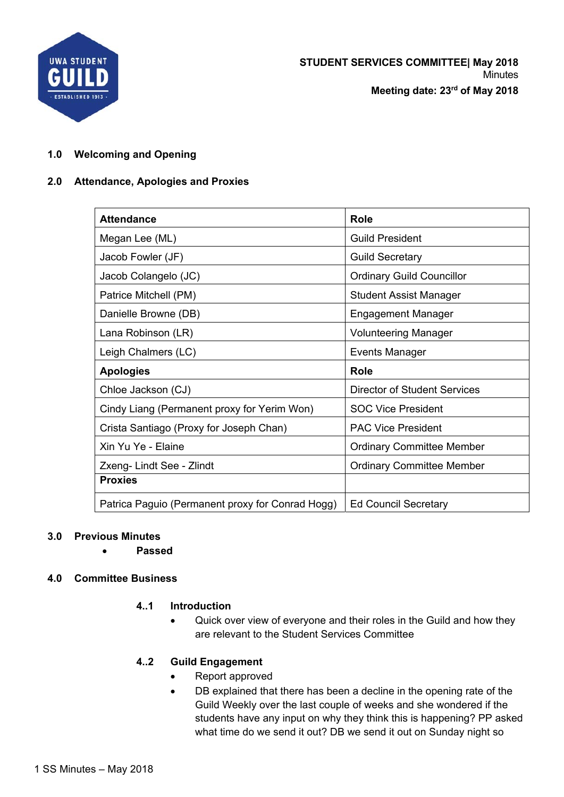

## **2.0 Attendance, Apologies and Proxies**

| <b>Attendance</b>                           | <b>Role</b>                         |
|---------------------------------------------|-------------------------------------|
| Megan Lee (ML)                              | <b>Guild President</b>              |
| Jacob Fowler (JF)                           | <b>Guild Secretary</b>              |
| Jacob Colangelo (JC)                        | <b>Ordinary Guild Councillor</b>    |
| Patrice Mitchell (PM)                       | <b>Student Assist Manager</b>       |
| Danielle Browne (DB)                        | <b>Engagement Manager</b>           |
| Lana Robinson (LR)                          | <b>Volunteering Manager</b>         |
| Leigh Chalmers (LC)                         | Events Manager                      |
|                                             |                                     |
| <b>Apologies</b>                            | <b>Role</b>                         |
| Chloe Jackson (CJ)                          | <b>Director of Student Services</b> |
| Cindy Liang (Permanent proxy for Yerim Won) | <b>SOC Vice President</b>           |
| Crista Santiago (Proxy for Joseph Chan)     | <b>PAC Vice President</b>           |
| Xin Yu Ye - Elaine                          | <b>Ordinary Committee Member</b>    |
| Zxeng- Lindt See - Zlindt                   | <b>Ordinary Committee Member</b>    |
| <b>Proxies</b>                              |                                     |

### **3.0 Previous Minutes**

**Passed** 

## **4.0 Committee Business**

# **4..1 Introduction**

• Quick over view of everyone and their roles in the Guild and how they are relevant to the Student Services Committee

## **4..2 Guild Engagement**

- Report approved
- DB explained that there has been a decline in the opening rate of the Guild Weekly over the last couple of weeks and she wondered if the students have any input on why they think this is happening? PP asked what time do we send it out? DB we send it out on Sunday night so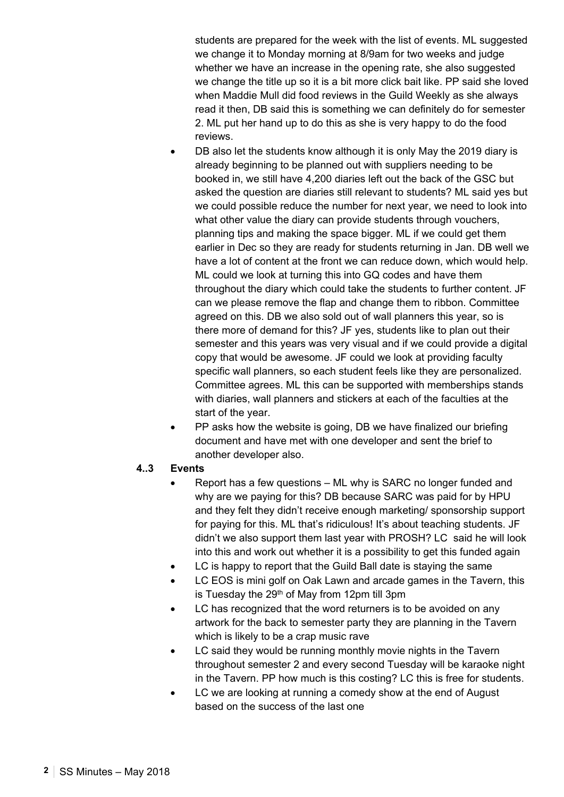students are prepared for the week with the list of events. ML suggested we change it to Monday morning at 8/9am for two weeks and judge whether we have an increase in the opening rate, she also suggested we change the title up so it is a bit more click bait like. PP said she loved when Maddie Mull did food reviews in the Guild Weekly as she always read it then, DB said this is something we can definitely do for semester 2. ML put her hand up to do this as she is very happy to do the food reviews.

- DB also let the students know although it is only May the 2019 diary is already beginning to be planned out with suppliers needing to be booked in, we still have 4,200 diaries left out the back of the GSC but asked the question are diaries still relevant to students? ML said yes but we could possible reduce the number for next year, we need to look into what other value the diary can provide students through vouchers, planning tips and making the space bigger. ML if we could get them earlier in Dec so they are ready for students returning in Jan. DB well we have a lot of content at the front we can reduce down, which would help. ML could we look at turning this into GQ codes and have them throughout the diary which could take the students to further content. JF can we please remove the flap and change them to ribbon. Committee agreed on this. DB we also sold out of wall planners this year, so is there more of demand for this? JF yes, students like to plan out their semester and this years was very visual and if we could provide a digital copy that would be awesome. JF could we look at providing faculty specific wall planners, so each student feels like they are personalized. Committee agrees. ML this can be supported with memberships stands with diaries, wall planners and stickers at each of the faculties at the start of the year.
- PP asks how the website is going, DB we have finalized our briefing document and have met with one developer and sent the brief to another developer also.

### **4..3 Events**

- Report has a few questions ML why is SARC no longer funded and why are we paying for this? DB because SARC was paid for by HPU and they felt they didn't receive enough marketing/ sponsorship support for paying for this. ML that's ridiculous! It's about teaching students. JF didn't we also support them last year with PROSH? LC said he will look into this and work out whether it is a possibility to get this funded again
- LC is happy to report that the Guild Ball date is staying the same
- LC EOS is mini golf on Oak Lawn and arcade games in the Tavern, this is Tuesday the 29<sup>th</sup> of May from 12pm till 3pm
- LC has recognized that the word returners is to be avoided on any artwork for the back to semester party they are planning in the Tavern which is likely to be a crap music rave
- LC said they would be running monthly movie nights in the Tavern throughout semester 2 and every second Tuesday will be karaoke night in the Tavern. PP how much is this costing? LC this is free for students.
- LC we are looking at running a comedy show at the end of August based on the success of the last one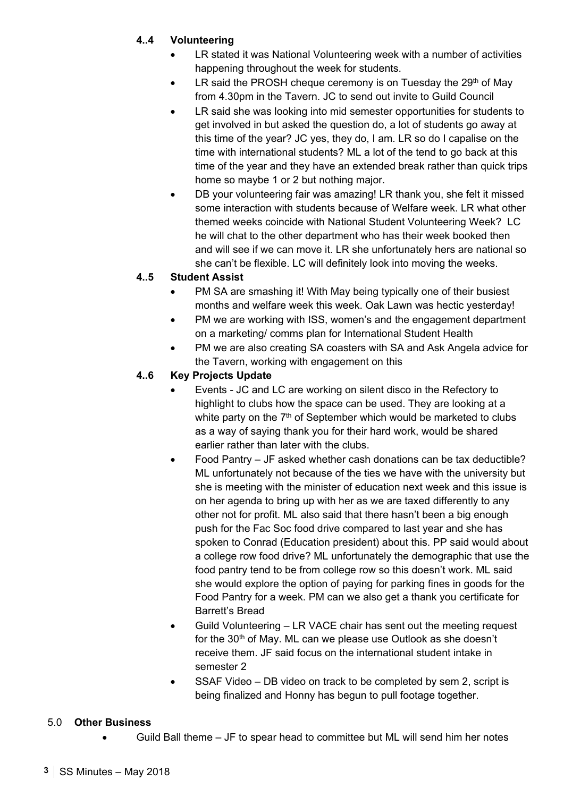# **4..4 Volunteering**

- LR stated it was National Volunteering week with a number of activities happening throughout the week for students.
- $\bullet$  LR said the PROSH cheque ceremony is on Tuesday the 29<sup>th</sup> of May from 4.30pm in the Tavern. JC to send out invite to Guild Council
- LR said she was looking into mid semester opportunities for students to get involved in but asked the question do, a lot of students go away at this time of the year? JC yes, they do, I am. LR so do I capalise on the time with international students? ML a lot of the tend to go back at this time of the year and they have an extended break rather than quick trips home so maybe 1 or 2 but nothing major.
- DB your volunteering fair was amazing! LR thank you, she felt it missed some interaction with students because of Welfare week. LR what other themed weeks coincide with National Student Volunteering Week? LC he will chat to the other department who has their week booked then and will see if we can move it. LR she unfortunately hers are national so she can't be flexible. LC will definitely look into moving the weeks.

# **4..5 Student Assist**

- PM SA are smashing it! With May being typically one of their busiest months and welfare week this week. Oak Lawn was hectic yesterday!
- PM we are working with ISS, women's and the engagement department on a marketing/ comms plan for International Student Health
- PM we are also creating SA coasters with SA and Ask Angela advice for the Tavern, working with engagement on this

## **4..6 Key Projects Update**

- Events JC and LC are working on silent disco in the Refectory to highlight to clubs how the space can be used. They are looking at a white party on the  $7<sup>th</sup>$  of September which would be marketed to clubs as a way of saying thank you for their hard work, would be shared earlier rather than later with the clubs.
- Food Pantry JF asked whether cash donations can be tax deductible? ML unfortunately not because of the ties we have with the university but she is meeting with the minister of education next week and this issue is on her agenda to bring up with her as we are taxed differently to any other not for profit. ML also said that there hasn't been a big enough push for the Fac Soc food drive compared to last year and she has spoken to Conrad (Education president) about this. PP said would about a college row food drive? ML unfortunately the demographic that use the food pantry tend to be from college row so this doesn't work. ML said she would explore the option of paying for parking fines in goods for the Food Pantry for a week. PM can we also get a thank you certificate for Barrett's Bread
- Guild Volunteering LR VACE chair has sent out the meeting request for the 30<sup>th</sup> of May. ML can we please use Outlook as she doesn't receive them. JF said focus on the international student intake in semester 2
- SSAF Video DB video on track to be completed by sem 2, script is being finalized and Honny has begun to pull footage together.

### 5.0 **Other Business**

Guild Ball theme – JF to spear head to committee but ML will send him her notes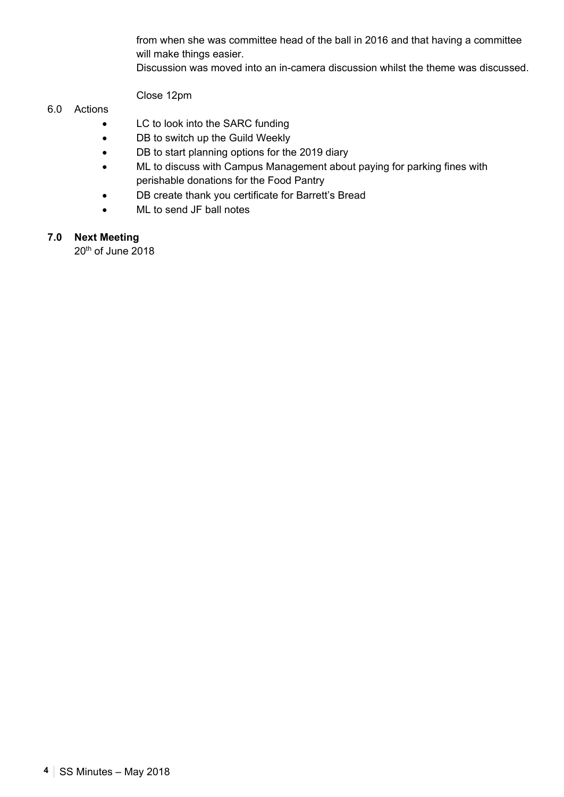from when she was committee head of the ball in 2016 and that having a committee will make things easier.

Discussion was moved into an in-camera discussion whilst the theme was discussed.

Close 12pm

### 6.0 Actions

- LC to look into the SARC funding
- DB to switch up the Guild Weekly
- DB to start planning options for the 2019 diary
- ML to discuss with Campus Management about paying for parking fines with perishable donations for the Food Pantry
- DB create thank you certificate for Barrett's Bread
- ML to send JF ball notes

# **7.0 Next Meeting**

20<sup>th</sup> of June 2018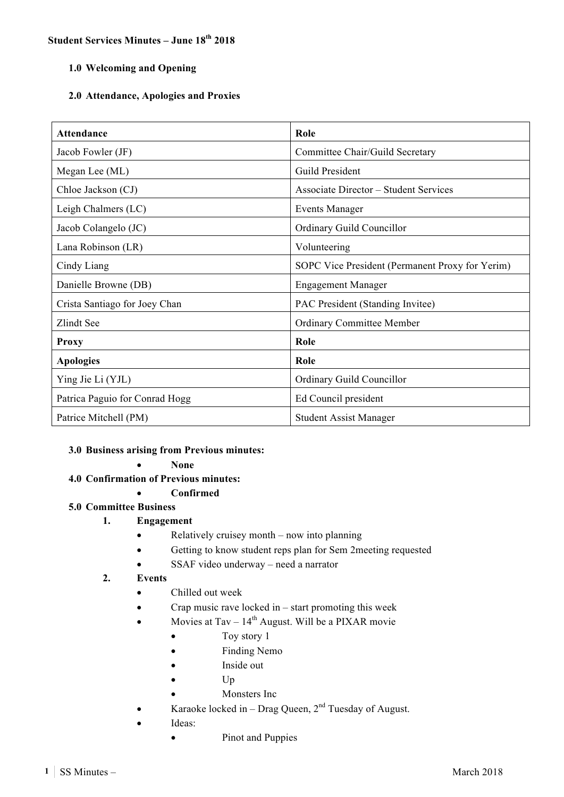# **Student Services Minutes – June 18th 2018**

### **1.0 Welcoming and Opening**

### **2.0 Attendance, Apologies and Proxies**

| <b>Attendance</b>              | Role                                            |
|--------------------------------|-------------------------------------------------|
| Jacob Fowler (JF)              | Committee Chair/Guild Secretary                 |
| Megan Lee (ML)                 | Guild President                                 |
| Chloe Jackson (CJ)             | <b>Associate Director – Student Services</b>    |
| Leigh Chalmers (LC)            | <b>Events Manager</b>                           |
| Jacob Colangelo (JC)           | Ordinary Guild Councillor                       |
| Lana Robinson (LR)             | Volunteering                                    |
| Cindy Liang                    | SOPC Vice President (Permanent Proxy for Yerim) |
| Danielle Browne (DB)           | <b>Engagement Manager</b>                       |
| Crista Santiago for Joey Chan  | PAC President (Standing Invitee)                |
| Zlindt See                     | <b>Ordinary Committee Member</b>                |
| <b>Proxy</b>                   | Role                                            |
| <b>Apologies</b>               | Role                                            |
| Ying Jie Li (YJL)              | Ordinary Guild Councillor                       |
| Patrica Paguio for Conrad Hogg | Ed Council president                            |
| Patrice Mitchell (PM)          | <b>Student Assist Manager</b>                   |

### **3.0 Business arising from Previous minutes:**

- **None**
- **4.0 Confirmation of Previous minutes:** 
	- **Confirmed**

### **5.0 Committee Business**

- **1. Engagement**
	- Relatively cruisey month now into planning
	- Getting to know student reps plan for Sem 2meeting requested
	- SSAF video underway need a narrator

### **2. Events**

- Chilled out week
- Crap music rave locked in start promoting this week
- Movies at Tav  $14<sup>th</sup>$  August. Will be a PIXAR movie
	- Toy story 1
	- Finding Nemo
	- Inside out
	- Up
	- Monsters Inc
- Karaoke locked in Drag Queen,  $2<sup>nd</sup>$  Tuesday of August.
- Ideas:
	- Pinot and Puppies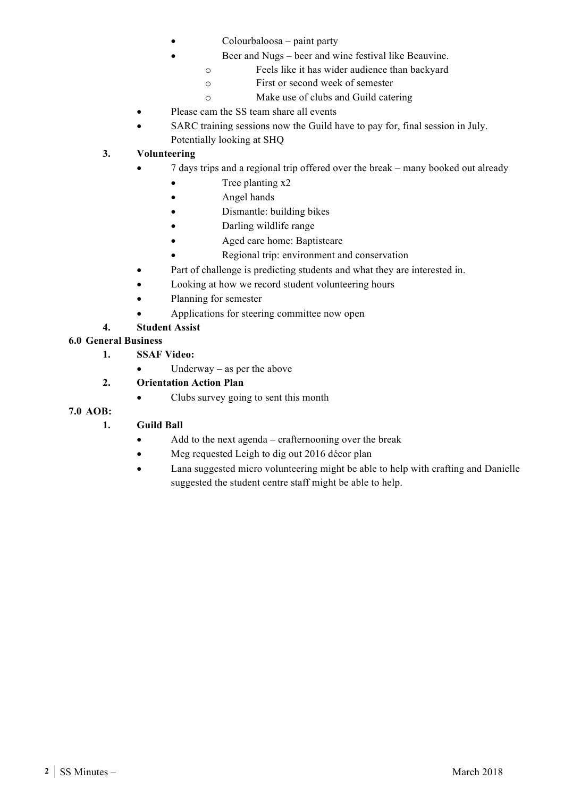- Colourbaloosa paint party
- Beer and Nugs beer and wine festival like Beauvine.
	- o Feels like it has wider audience than backyard
	- o First or second week of semester
	- o Make use of clubs and Guild catering
- Please cam the SS team share all events
- SARC training sessions now the Guild have to pay for, final session in July. Potentially looking at SHQ

### **3. Volunteering**

- 7 days trips and a regional trip offered over the break many booked out already
	- Tree planting x2
	- Angel hands
	- Dismantle: building bikes
	- Darling wildlife range
	- Aged care home: Baptistcare
	- Regional trip: environment and conservation
- Part of challenge is predicting students and what they are interested in.
- Looking at how we record student volunteering hours
- Planning for semester
- Applications for steering committee now open

### **4. Student Assist**

### **6.0 General Business**

- **1. SSAF Video:**
	- Underway as per the above
- **2. Orientation Action Plan**
	- Clubs survey going to sent this month

### **7.0 AOB:**

## **1. Guild Ball**

- Add to the next agenda crafternooning over the break
- Meg requested Leigh to dig out 2016 décor plan
- Lana suggested micro volunteering might be able to help with crafting and Danielle suggested the student centre staff might be able to help.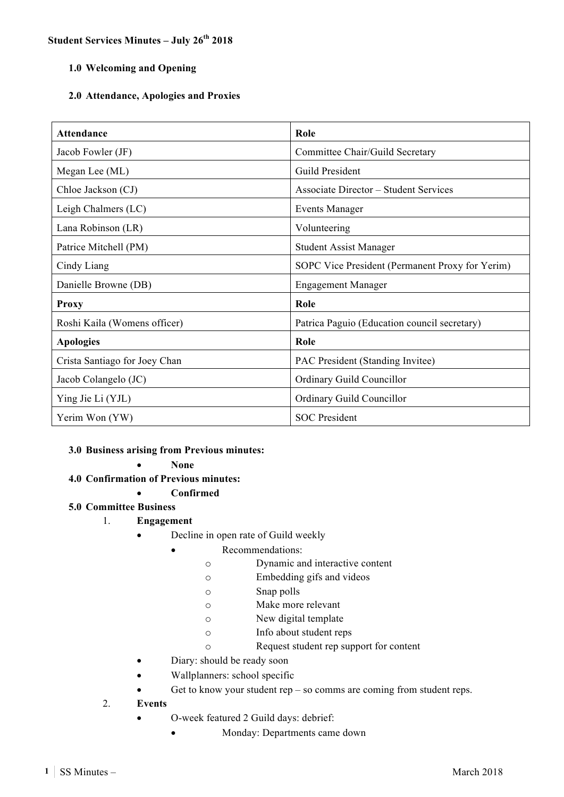### **Student Services Minutes – July 26th 2018**

### **1.0 Welcoming and Opening**

### **2.0 Attendance, Apologies and Proxies**

| <b>Attendance</b>             | Role                                            |
|-------------------------------|-------------------------------------------------|
| Jacob Fowler (JF)             | Committee Chair/Guild Secretary                 |
| Megan Lee (ML)                | Guild President                                 |
| Chloe Jackson (CJ)            | <b>Associate Director – Student Services</b>    |
| Leigh Chalmers (LC)           | <b>Events Manager</b>                           |
| Lana Robinson (LR)            | Volunteering                                    |
| Patrice Mitchell (PM)         | <b>Student Assist Manager</b>                   |
| Cindy Liang                   | SOPC Vice President (Permanent Proxy for Yerim) |
| Danielle Browne (DB)          | <b>Engagement Manager</b>                       |
| <b>Proxy</b>                  | Role                                            |
| Roshi Kaila (Womens officer)  | Patrica Paguio (Education council secretary)    |
| <b>Apologies</b>              | Role                                            |
| Crista Santiago for Joey Chan | PAC President (Standing Invitee)                |
| Jacob Colangelo (JC)          | Ordinary Guild Councillor                       |
| Ying Jie Li (YJL)             | Ordinary Guild Councillor                       |
| Yerim Won (YW)                | <b>SOC</b> President                            |

### **3.0 Business arising from Previous minutes:**

- **None**
- **4.0 Confirmation of Previous minutes:** 
	- **Confirmed**

### **5.0 Committee Business**

- 1. **Engagement**
	- Decline in open rate of Guild weekly
		- Recommendations:
			- o Dynamic and interactive content
			- o Embedding gifs and videos
			- o Snap polls
			- o Make more relevant
			- o New digital template
			- o Info about student reps
			- o Request student rep support for content
	- Diary: should be ready soon
	- Wallplanners: school specific
	- Get to know your student  $rep so$  comms are coming from student reps.
- 2. **Events** 
	- O-week featured 2 Guild days: debrief:
		- Monday: Departments came down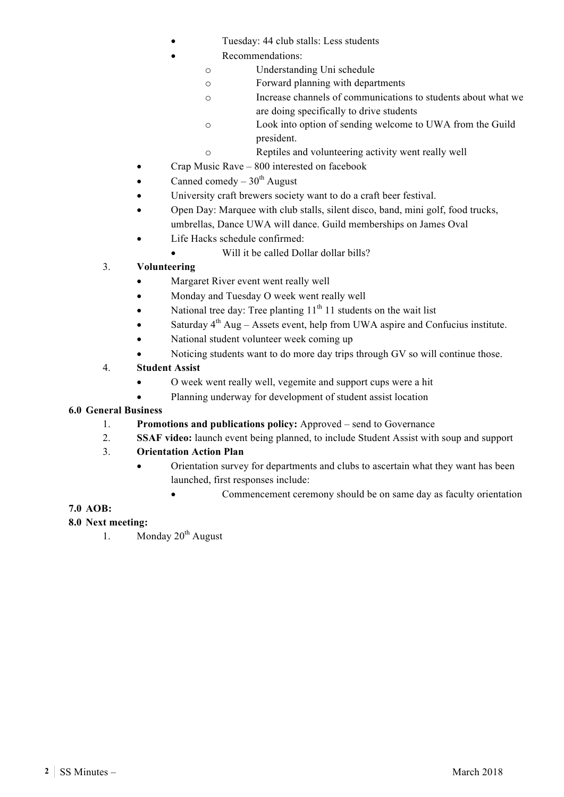- Tuesday: 44 club stalls: Less students
	- Recommendations:
		- o Understanding Uni schedule
			- o Forward planning with departments
		- o Increase channels of communications to students about what we are doing specifically to drive students
		- o Look into option of sending welcome to UWA from the Guild president.
		- o Reptiles and volunteering activity went really well
- Crap Music Rave 800 interested on facebook
- Canned comedy  $30<sup>th</sup>$  August
- University craft brewers society want to do a craft beer festival.
- Open Day: Marquee with club stalls, silent disco, band, mini golf, food trucks, umbrellas, Dance UWA will dance. Guild memberships on James Oval
- Life Hacks schedule confirmed:
	- Will it be called Dollar dollar bills?

# 3. **Volunteering**

- Margaret River event went really well
- Monday and Tuesday O week went really well
- National tree day: Tree planting  $11<sup>th</sup> 11$  students on the wait list
- Saturday  $4^{th}$  Aug Assets event, help from UWA aspire and Confucius institute.
- National student volunteer week coming up
- Noticing students want to do more day trips through GV so will continue those.

## 4. **Student Assist**

- O week went really well, vegemite and support cups were a hit
	- Planning underway for development of student assist location

## **6.0 General Business**

- 1. **Promotions and publications policy:** Approved send to Governance
- 2. **SSAF video:** launch event being planned, to include Student Assist with soup and support

## 3. **Orientation Action Plan**

- Orientation survey for departments and clubs to ascertain what they want has been launched, first responses include:
	- Commencement ceremony should be on same day as faculty orientation

## **7.0 AOB:**

## **8.0 Next meeting:**

1. Monday  $20^{th}$  August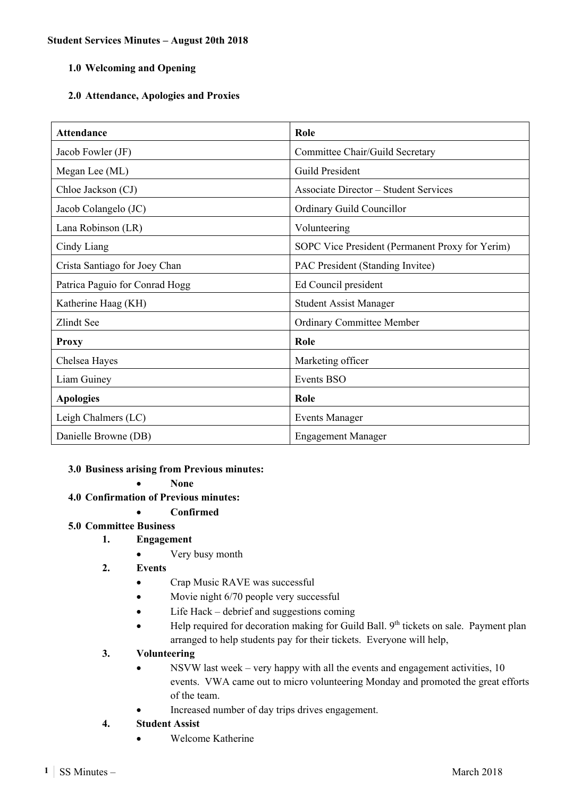## **2.0 Attendance, Apologies and Proxies**

| <b>Attendance</b>              | Role                                            |
|--------------------------------|-------------------------------------------------|
| Jacob Fowler (JF)              | Committee Chair/Guild Secretary                 |
| Megan Lee (ML)                 | Guild President                                 |
| Chloe Jackson (CJ)             | <b>Associate Director – Student Services</b>    |
| Jacob Colangelo (JC)           | Ordinary Guild Councillor                       |
| Lana Robinson (LR)             | Volunteering                                    |
| Cindy Liang                    | SOPC Vice President (Permanent Proxy for Yerim) |
| Crista Santiago for Joey Chan  | PAC President (Standing Invitee)                |
| Patrica Paguio for Conrad Hogg | Ed Council president                            |
| Katherine Haag (KH)            | <b>Student Assist Manager</b>                   |
| Zlindt See                     | <b>Ordinary Committee Member</b>                |
| <b>Proxy</b>                   | Role                                            |
| Chelsea Hayes                  | Marketing officer                               |
| Liam Guiney                    | <b>Events BSO</b>                               |
| <b>Apologies</b>               | Role                                            |
| Leigh Chalmers (LC)            | <b>Events Manager</b>                           |
| Danielle Browne (DB)           | <b>Engagement Manager</b>                       |

### **3.0 Business arising from Previous minutes:**

**None** 

**4.0 Confirmation of Previous minutes:** 

# **Confirmed**

## **5.0 Committee Business**

- **1. Engagement** 
	- Very busy month
	- **2. Events** 
		- Crap Music RAVE was successful
		- Movie night 6/70 people very successful
		- Life Hack debrief and suggestions coming
		- Help required for decoration making for Guild Ball. 9<sup>th</sup> tickets on sale. Payment plan arranged to help students pay for their tickets. Everyone will help,

## **3. Volunteering**

- NSVW last week very happy with all the events and engagement activities, 10 events. VWA came out to micro volunteering Monday and promoted the great efforts of the team.
- Increased number of day trips drives engagement.

# **4. Student Assist**

Welcome Katherine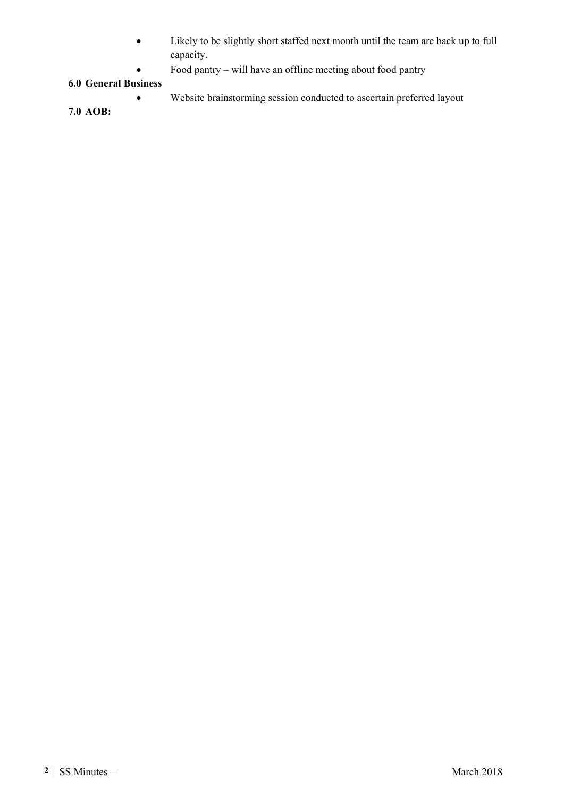- Likely to be slightly short staffed next month until the team are back up to full capacity.
- Food pantry will have an offline meeting about food pantry

## **6.0 General Business**

- Website brainstorming session conducted to ascertain preferred layout
- **7.0 AOB:**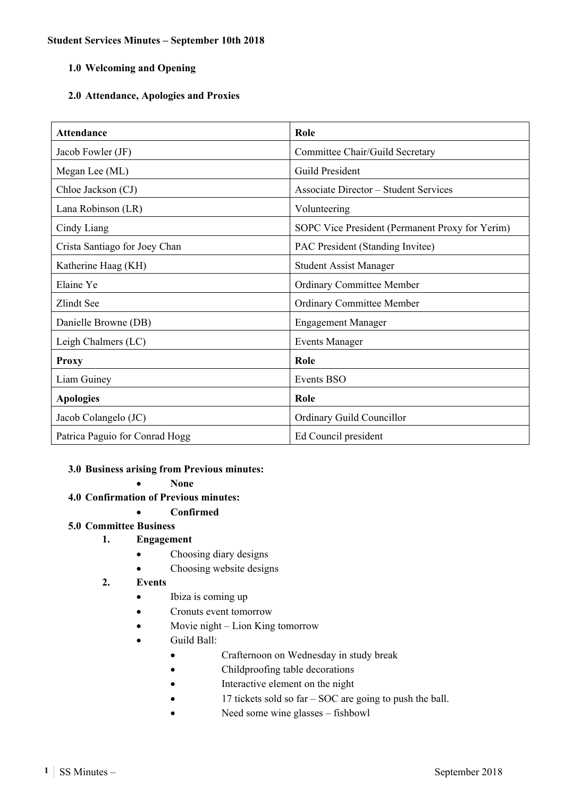## **2.0 Attendance, Apologies and Proxies**

| <b>Attendance</b>              | Role                                            |
|--------------------------------|-------------------------------------------------|
| Jacob Fowler (JF)              | Committee Chair/Guild Secretary                 |
| Megan Lee (ML)                 | Guild President                                 |
| Chloe Jackson (CJ)             | <b>Associate Director – Student Services</b>    |
| Lana Robinson (LR)             | Volunteering                                    |
| Cindy Liang                    | SOPC Vice President (Permanent Proxy for Yerim) |
| Crista Santiago for Joey Chan  | PAC President (Standing Invitee)                |
| Katherine Haag (KH)            | <b>Student Assist Manager</b>                   |
| Elaine Ye                      | <b>Ordinary Committee Member</b>                |
| Zlindt See                     | Ordinary Committee Member                       |
| Danielle Browne (DB)           | <b>Engagement Manager</b>                       |
| Leigh Chalmers (LC)            | <b>Events Manager</b>                           |
| <b>Proxy</b>                   | Role                                            |
| Liam Guiney                    | Events BSO                                      |
| <b>Apologies</b>               | Role                                            |
| Jacob Colangelo (JC)           | Ordinary Guild Councillor                       |
| Patrica Paguio for Conrad Hogg | Ed Council president                            |

### **3.0 Business arising from Previous minutes:**

**None** 

**4.0 Confirmation of Previous minutes:** 

## **Confirmed**

## **5.0 Committee Business**

## **1. Engagement**

- Choosing diary designs
- Choosing website designs

### **2. Events**

- Ibiza is coming up
- Cronuts event tomorrow
- Movie night Lion King tomorrow
- Guild Ball:
	- Crafternoon on Wednesday in study break
	- Childproofing table decorations
	- Interactive element on the night
	- 17 tickets sold so far SOC are going to push the ball.
	- Need some wine glasses fishbowl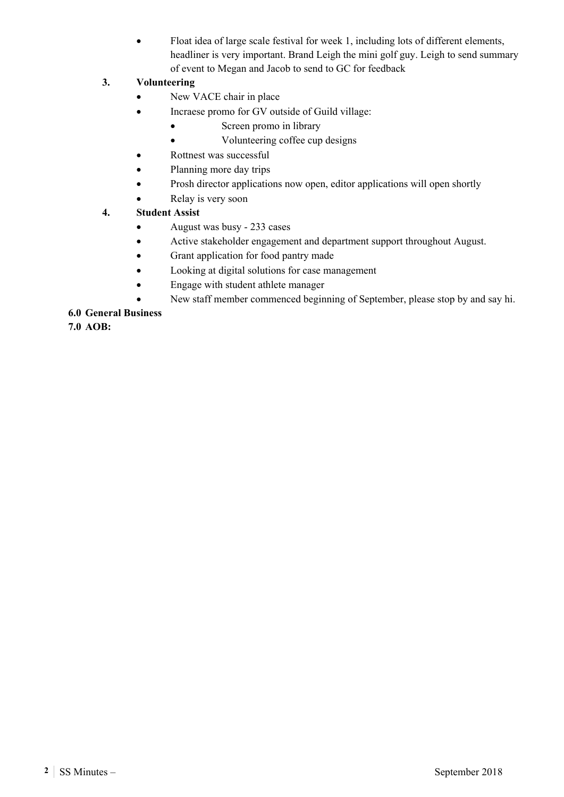Float idea of large scale festival for week 1, including lots of different elements, headliner is very important. Brand Leigh the mini golf guy. Leigh to send summary of event to Megan and Jacob to send to GC for feedback

# **3. Volunteering**

- New VACE chair in place
- Incraese promo for GV outside of Guild village:
	- Screen promo in library
		- Volunteering coffee cup designs
- Rottnest was successful
- Planning more day trips
- Prosh director applications now open, editor applications will open shortly
- Relay is very soon

### **4. Student Assist**

- August was busy 233 cases
- Active stakeholder engagement and department support throughout August.
- Grant application for food pantry made
- Looking at digital solutions for case management
- Engage with student athlete manager
- New staff member commenced beginning of September, please stop by and say hi.

### **6.0 General Business**

**7.0 AOB:**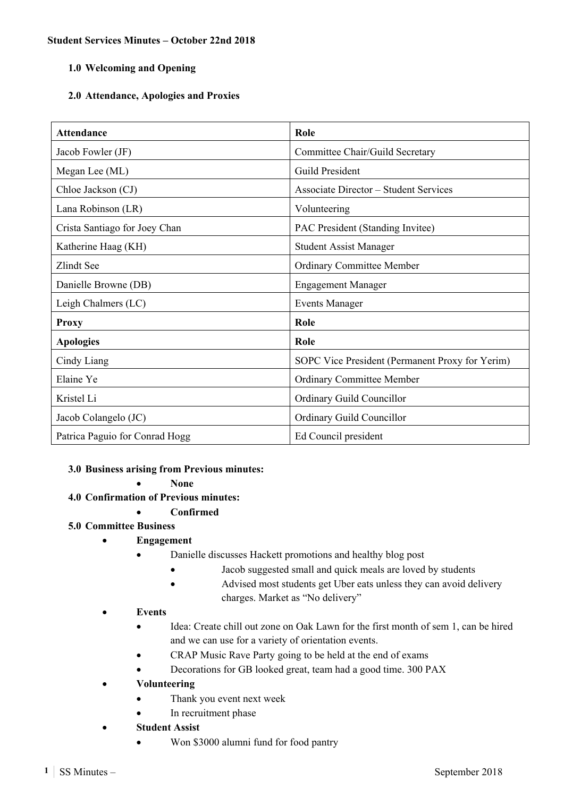### **2.0 Attendance, Apologies and Proxies**

| <b>Attendance</b>              | Role                                            |
|--------------------------------|-------------------------------------------------|
| Jacob Fowler (JF)              | Committee Chair/Guild Secretary                 |
| Megan Lee (ML)                 | Guild President                                 |
| Chloe Jackson (CJ)             | <b>Associate Director – Student Services</b>    |
| Lana Robinson (LR)             | Volunteering                                    |
| Crista Santiago for Joey Chan  | PAC President (Standing Invitee)                |
| Katherine Haag (KH)            | <b>Student Assist Manager</b>                   |
| Zlindt See                     | Ordinary Committee Member                       |
| Danielle Browne (DB)           | <b>Engagement Manager</b>                       |
| Leigh Chalmers (LC)            | <b>Events Manager</b>                           |
| <b>Proxy</b>                   | Role                                            |
| <b>Apologies</b>               | Role                                            |
| Cindy Liang                    | SOPC Vice President (Permanent Proxy for Yerim) |
| Elaine Ye                      | Ordinary Committee Member                       |
| Kristel Li                     | Ordinary Guild Councillor                       |
| Jacob Colangelo (JC)           | Ordinary Guild Councillor                       |
| Patrica Paguio for Conrad Hogg | Ed Council president                            |

### **3.0 Business arising from Previous minutes:**

**None** 

- **4.0 Confirmation of Previous minutes:** 
	- **Confirmed**

### **5.0 Committee Business**

- **Engagement** 
	- Danielle discusses Hackett promotions and healthy blog post
		- Jacob suggested small and quick meals are loved by students
		- Advised most students get Uber eats unless they can avoid delivery charges. Market as "No delivery"

### **Events**

- Idea: Create chill out zone on Oak Lawn for the first month of sem 1, can be hired and we can use for a variety of orientation events.
- CRAP Music Rave Party going to be held at the end of exams
- Decorations for GB looked great, team had a good time. 300 PAX
- **Volunteering** 
	- Thank you event next week
	- In recruitment phase
	- **Student Assist** 
		- Won \$3000 alumni fund for food pantry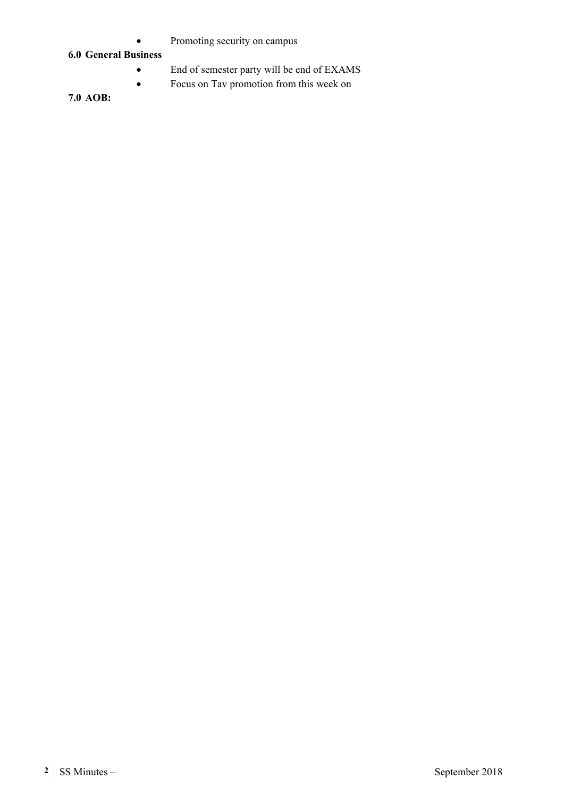• Promoting security on campus

### **6.0 General Business**

- End of semester party will be end of EXAMS
- Focus on Tav promotion from this week on

**7.0 AOB:**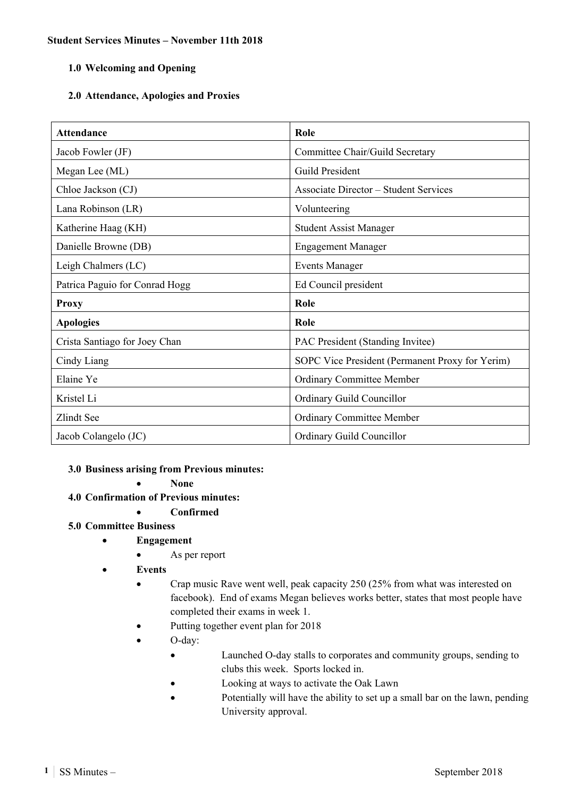## **2.0 Attendance, Apologies and Proxies**

| <b>Attendance</b>              | Role                                            |
|--------------------------------|-------------------------------------------------|
| Jacob Fowler (JF)              | Committee Chair/Guild Secretary                 |
| Megan Lee (ML)                 | Guild President                                 |
| Chloe Jackson (CJ)             | <b>Associate Director – Student Services</b>    |
| Lana Robinson (LR)             | Volunteering                                    |
| Katherine Haag (KH)            | <b>Student Assist Manager</b>                   |
| Danielle Browne (DB)           | <b>Engagement Manager</b>                       |
| Leigh Chalmers (LC)            | <b>Events Manager</b>                           |
| Patrica Paguio for Conrad Hogg | Ed Council president                            |
| <b>Proxy</b>                   | Role                                            |
| <b>Apologies</b>               | Role                                            |
| Crista Santiago for Joey Chan  | PAC President (Standing Invitee)                |
| Cindy Liang                    | SOPC Vice President (Permanent Proxy for Yerim) |
| Elaine Ye                      | Ordinary Committee Member                       |
| Kristel Li                     | Ordinary Guild Councillor                       |
| Zlindt See                     | <b>Ordinary Committee Member</b>                |
| Jacob Colangelo (JC)           | Ordinary Guild Councillor                       |

### **3.0 Business arising from Previous minutes:**

**None** 

**4.0 Confirmation of Previous minutes:** 

## **Confirmed**

## **5.0 Committee Business**

- **Engagement** 
	- As per report
	- **Events** 
		- Crap music Rave went well, peak capacity 250 (25% from what was interested on facebook). End of exams Megan believes works better, states that most people have completed their exams in week 1.
		- Putting together event plan for 2018
		- O-day:
			- Launched O-day stalls to corporates and community groups, sending to clubs this week. Sports locked in.
			- Looking at ways to activate the Oak Lawn
			- Potentially will have the ability to set up a small bar on the lawn, pending University approval.